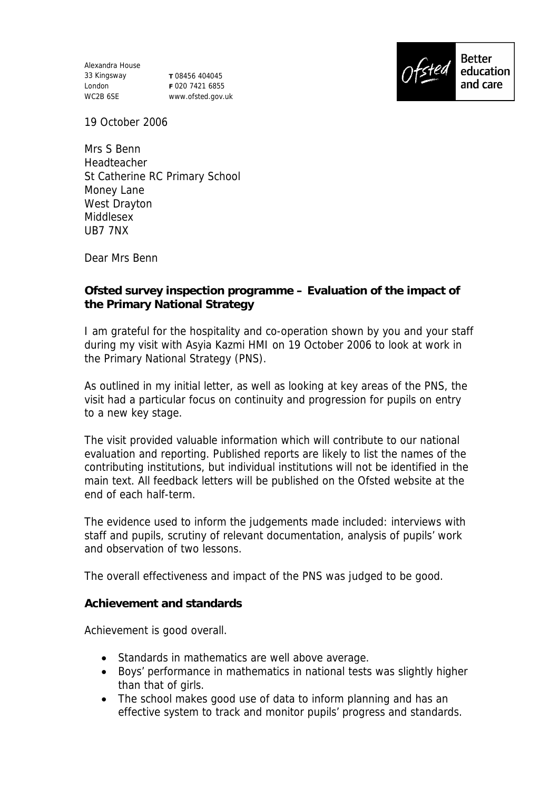Alexandra House 33 Kingsway London WC2B 6SE

**T** 08456 404045 **F** 020 7421 6855 www.ofsted.gov.uk



19 October 2006

Mrs S Benn Headteacher St Catherine RC Primary School Money Lane West Drayton Middlesex UB7 7NX

Dear Mrs Benn

**Ofsted survey inspection programme – Evaluation of the impact of the Primary National Strategy**

I am grateful for the hospitality and co-operation shown by you and your staff during my visit with Asyia Kazmi HMI on 19 October 2006 to look at work in the Primary National Strategy (PNS).

As outlined in my initial letter, as well as looking at key areas of the PNS, the visit had a particular focus on continuity and progression for pupils on entry to a new key stage.

The visit provided valuable information which will contribute to our national evaluation and reporting. Published reports are likely to list the names of the contributing institutions, but individual institutions will not be identified in the main text. All feedback letters will be published on the Ofsted website at the end of each half-term.

The evidence used to inform the judgements made included: interviews with staff and pupils, scrutiny of relevant documentation, analysis of pupils' work and observation of two lessons.

The overall effectiveness and impact of the PNS was judged to be good.

**Achievement and standards**

Achievement is good overall.

- Standards in mathematics are well above average.
- Boys' performance in mathematics in national tests was slightly higher than that of girls.
- The school makes good use of data to inform planning and has an effective system to track and monitor pupils' progress and standards.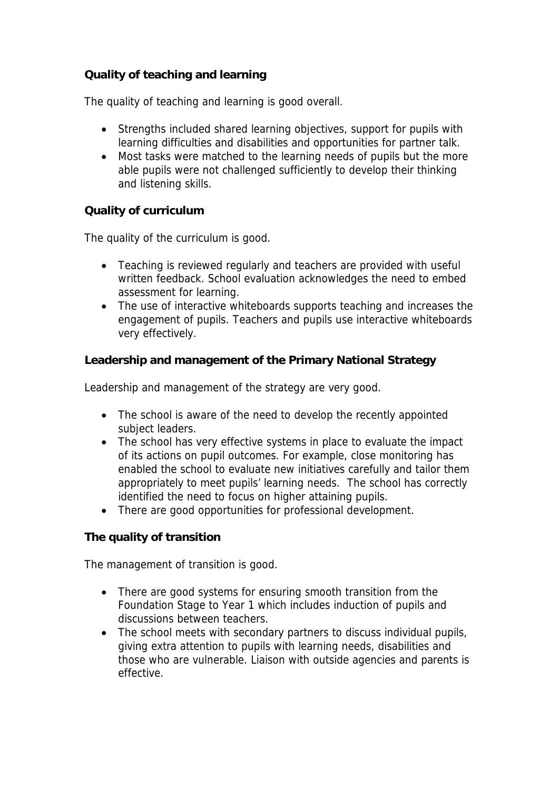## **Quality of teaching and learning**

The quality of teaching and learning is good overall.

- Strengths included shared learning objectives, support for pupils with learning difficulties and disabilities and opportunities for partner talk.
- Most tasks were matched to the learning needs of pupils but the more able pupils were not challenged sufficiently to develop their thinking and listening skills.

## **Quality of curriculum**

The quality of the curriculum is good.

- Teaching is reviewed regularly and teachers are provided with useful written feedback. School evaluation acknowledges the need to embed assessment for learning.
- The use of interactive whiteboards supports teaching and increases the engagement of pupils. Teachers and pupils use interactive whiteboards very effectively.

**Leadership and management of the Primary National Strategy**

Leadership and management of the strategy are very good.

- The school is aware of the need to develop the recently appointed subject leaders.
- The school has very effective systems in place to evaluate the impact of its actions on pupil outcomes. For example, close monitoring has enabled the school to evaluate new initiatives carefully and tailor them appropriately to meet pupils' learning needs. The school has correctly identified the need to focus on higher attaining pupils.
- There are good opportunities for professional development.

**The quality of transition** 

The management of transition is good.

- There are good systems for ensuring smooth transition from the Foundation Stage to Year 1 which includes induction of pupils and discussions between teachers.
- The school meets with secondary partners to discuss individual pupils, giving extra attention to pupils with learning needs, disabilities and those who are vulnerable. Liaison with outside agencies and parents is effective.